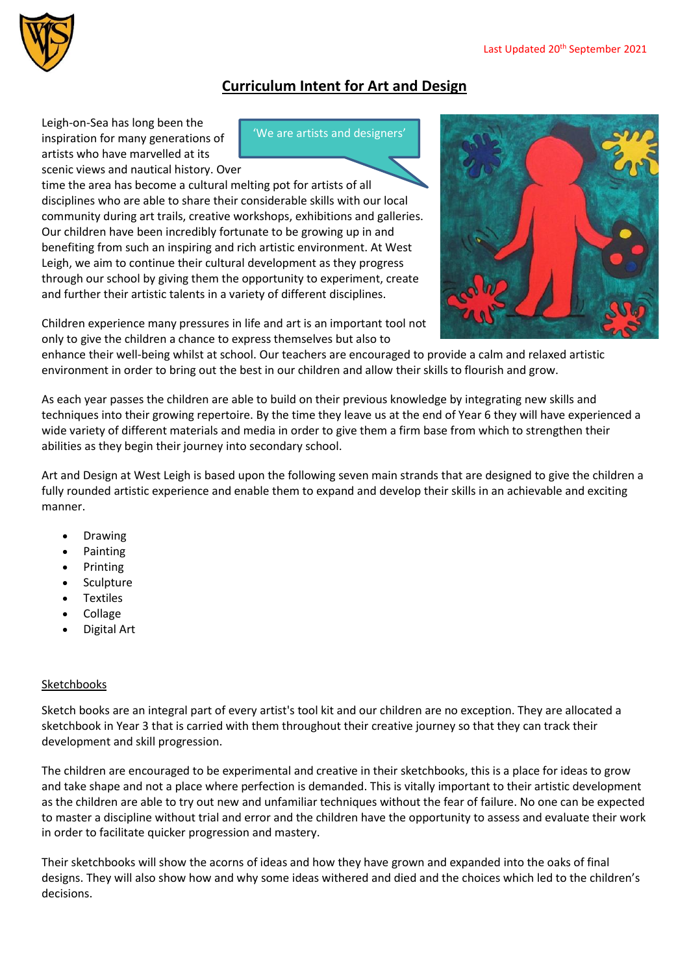

# **Curriculum Intent for Art and Design**

'We are artists and designers'

Leigh-on-Sea has long been the inspiration for many generations of artists who have marvelled at its scenic views and nautical history. Over

time the area has become a cultural melting pot for artists of all disciplines who are able to share their considerable skills with our local community during art trails, creative workshops, exhibitions and galleries. Our children have been incredibly fortunate to be growing up in and benefiting from such an inspiring and rich artistic environment. At West Leigh, we aim to continue their cultural development as they progress through our school by giving them the opportunity to experiment, create and further their artistic talents in a variety of different disciplines.



Children experience many pressures in life and art is an important tool not only to give the children a chance to express themselves but also to

enhance their well-being whilst at school. Our teachers are encouraged to provide a calm and relaxed artistic environment in order to bring out the best in our children and allow their skills to flourish and grow.

As each year passes the children are able to build on their previous knowledge by integrating new skills and techniques into their growing repertoire. By the time they leave us at the end of Year 6 they will have experienced a wide variety of different materials and media in order to give them a firm base from which to strengthen their abilities as they begin their journey into secondary school.

Art and Design at West Leigh is based upon the following seven main strands that are designed to give the children a fully rounded artistic experience and enable them to expand and develop their skills in an achievable and exciting manner.

- Drawing
- Painting
- Printing
- Sculpture
- Textiles
- Collage
- Digital Art

# Sketchbooks

Sketch books are an integral part of every artist's tool kit and our children are no exception. They are allocated a sketchbook in Year 3 that is carried with them throughout their creative journey so that they can track their development and skill progression.

The children are encouraged to be experimental and creative in their sketchbooks, this is a place for ideas to grow and take shape and not a place where perfection is demanded. This is vitally important to their artistic development as the children are able to try out new and unfamiliar techniques without the fear of failure. No one can be expected to master a discipline without trial and error and the children have the opportunity to assess and evaluate their work in order to facilitate quicker progression and mastery.

Their sketchbooks will show the acorns of ideas and how they have grown and expanded into the oaks of final designs. They will also show how and why some ideas withered and died and the choices which led to the children's decisions.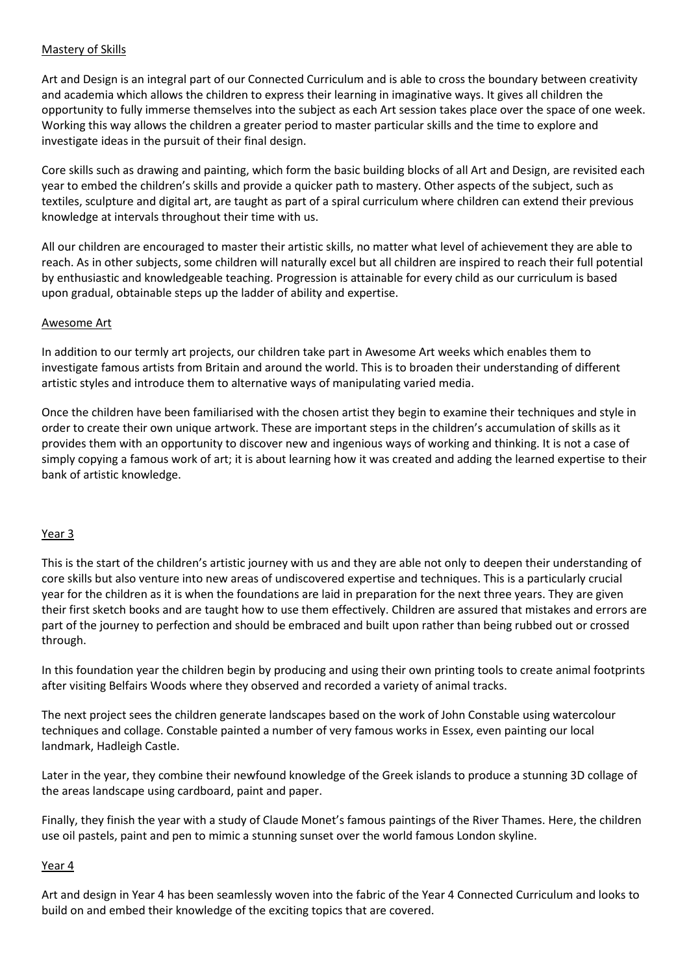## Mastery of Skills

Art and Design is an integral part of our Connected Curriculum and is able to cross the boundary between creativity and academia which allows the children to express their learning in imaginative ways. It gives all children the opportunity to fully immerse themselves into the subject as each Art session takes place over the space of one week. Working this way allows the children a greater period to master particular skills and the time to explore and investigate ideas in the pursuit of their final design.

Core skills such as drawing and painting, which form the basic building blocks of all Art and Design, are revisited each year to embed the children's skills and provide a quicker path to mastery. Other aspects of the subject, such as textiles, sculpture and digital art, are taught as part of a spiral curriculum where children can extend their previous knowledge at intervals throughout their time with us.

All our children are encouraged to master their artistic skills, no matter what level of achievement they are able to reach. As in other subjects, some children will naturally excel but all children are inspired to reach their full potential by enthusiastic and knowledgeable teaching. Progression is attainable for every child as our curriculum is based upon gradual, obtainable steps up the ladder of ability and expertise.

## Awesome Art

In addition to our termly art projects, our children take part in Awesome Art weeks which enables them to investigate famous artists from Britain and around the world. This is to broaden their understanding of different artistic styles and introduce them to alternative ways of manipulating varied media.

Once the children have been familiarised with the chosen artist they begin to examine their techniques and style in order to create their own unique artwork. These are important steps in the children's accumulation of skills as it provides them with an opportunity to discover new and ingenious ways of working and thinking. It is not a case of simply copying a famous work of art; it is about learning how it was created and adding the learned expertise to their bank of artistic knowledge.

#### Year 3

This is the start of the children's artistic journey with us and they are able not only to deepen their understanding of core skills but also venture into new areas of undiscovered expertise and techniques. This is a particularly crucial year for the children as it is when the foundations are laid in preparation for the next three years. They are given their first sketch books and are taught how to use them effectively. Children are assured that mistakes and errors are part of the journey to perfection and should be embraced and built upon rather than being rubbed out or crossed through.

In this foundation year the children begin by producing and using their own printing tools to create animal footprints after visiting Belfairs Woods where they observed and recorded a variety of animal tracks.

The next project sees the children generate landscapes based on the work of John Constable using watercolour techniques and collage. Constable painted a number of very famous works in Essex, even painting our local landmark, Hadleigh Castle.

Later in the year, they combine their newfound knowledge of the Greek islands to produce a stunning 3D collage of the areas landscape using cardboard, paint and paper.

Finally, they finish the year with a study of Claude Monet's famous paintings of the River Thames. Here, the children use oil pastels, paint and pen to mimic a stunning sunset over the world famous London skyline.

#### Year 4

Art and design in Year 4 has been seamlessly woven into the fabric of the Year 4 Connected Curriculum and looks to build on and embed their knowledge of the exciting topics that are covered.